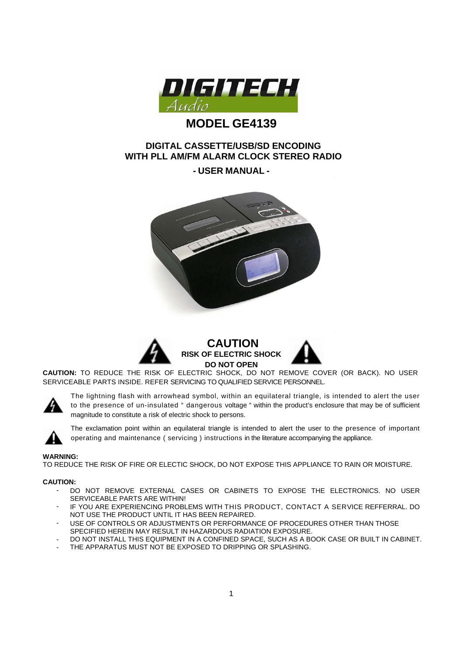

# **MODEL GE4139**

## **DIGITAL CASSETTE/USB/SD ENCODING WITH PLL AM/FM ALARM CLOCK STEREO RADIO**

## **- USER MANUAL -**





**CAUTION:** TO REDUCE THE RISK OF ELECTRIC SHOCK, DO NOT REMOVE COVER (OR BACK). NO USER SERVICEABLE PARTS INSIDE. REFER SERVICING TO QUALIFIED SERVICE PERSONNEL.



The lightning flash with arrowhead symbol, within an equilateral triangle, is intended to alert the user to the presence of un-insulated " dangerous voltage " within the product's enclosure that may be of sufficient magnitude to constitute a risk of electric shock to persons.



The exclamation point within an equilateral triangle is intended to alert the user to the presence of important operating and maintenance ( servicing ) instructions in the literature accompanying the appliance.

#### **WARNING:**

TO REDUCE THE RISK OF FIRE OR ELECTIC SHOCK, DO NOT EXPOSE THIS APPLIANCE TO RAIN OR MOISTURE.

#### **CAUTION:**

- DO NOT REMOVE EXTERNAL CASES OR CABINETS TO EXPOSE THE ELECTRONICS. NO USER SERVICEABLE PARTS ARE WITHIN!
- IF YOU ARE EXPERIENCING PROBLEMS WITH THIS PRODUCT, CONTACT A SERVICE REFFERRAL, DO NOT USE THE PRODUCT UNTIL IT HAS BEEN REPAIRED.
- USE OF CONTROLS OR ADJUSTMENTS OR PERFORMANCE OF PROCEDURES OTHER THAN THOSE SPECIFIED HEREIN MAY RESULT IN HAZARDOUS RADIATION EXPOSURE.
- DO NOT INSTALL THIS EQUIPMENT IN A CONFINED SPACE, SUCH AS A BOOK CASE OR BUILT IN CABINET.
- THE APPARATUS MUST NOT BE EXPOSED TO DRIPPING OR SPLASHING.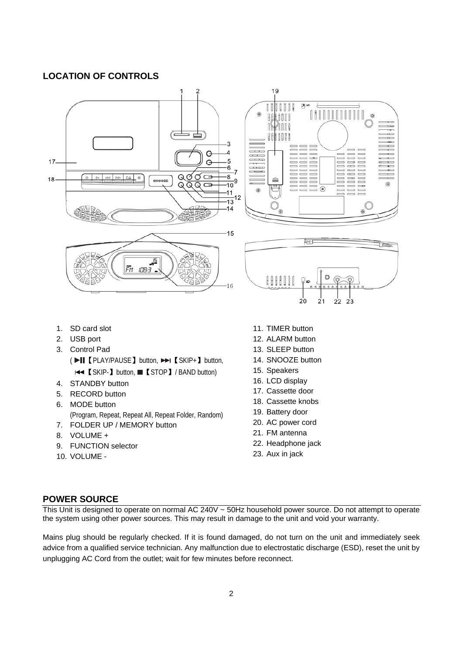## **LOCATION OF CONTROLS**



- 1. SD card slot
- 2. USB port
- 3. Control Pad ( ▶II 【 PLAY/PAUSE 】 button, ▶▶I 【 SKIP+ 】 button, **E44** 【SKIP-】 button, ■【STOP】/ BAND button)
- 4. STANDBY button
- 5. RECORD button
- 6. MODE button (Program, Repeat, Repeat All, Repeat Folder, Random)
- 7. FOLDER UP / MEMORY button
- 8. VOLUME +
- 9. FUNCTION selector
- 10. VOLUME -
- 11. TIMER button
- 12. ALARM button
- 13. SLEEP button
- 14. SNOOZE button
- 15. Speakers
- 16. LCD display
- 17. Cassette door
- 18. Cassette knobs
- 19. Battery door
- 20. AC power cord
- 21. FM antenna
- 22. Headphone jack
- 23. Aux in jack

## **POWER SOURCE**

This Unit is designed to operate on normal AC 240V ~ 50Hz household power source. Do not attempt to operate the system using other power sources. This may result in damage to the unit and void your warranty.

Mains plug should be regularly checked. If it is found damaged, do not turn on the unit and immediately seek advice from a qualified service technician. Any malfunction due to electrostatic discharge (ESD), reset the unit by unplugging AC Cord from the outlet; wait for few minutes before reconnect.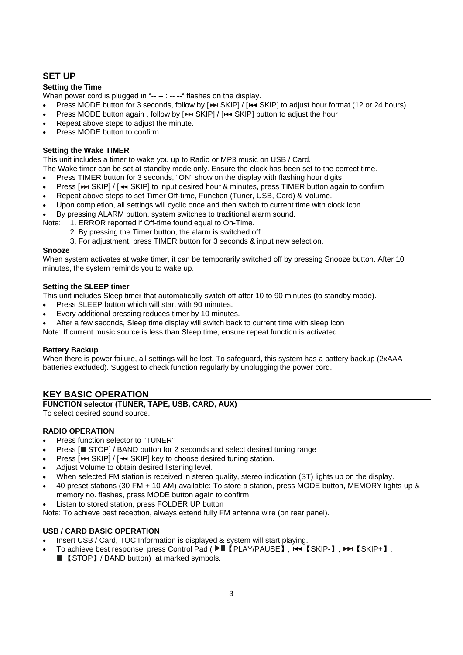## **SET UP**

## **Setting the Time**

When power cord is plugged in "-- -- : -- --" flashes on the display.

- Press MODE button for 3 seconds, follow by  $[\rightarrowtail \text{SKIP}] / [\rightarrowtail \text{SKIP}]$  to adjust hour format (12 or 24 hours)
- Press MODE button again, follow by [>>> SKIP] / [ $\leftrightarrow$  SKIP] button to adjust the hour
- Repeat above steps to adjust the minute.
- Press MODE button to confirm.

## **Setting the Wake TIMER**

This unit includes a timer to wake you up to Radio or MP3 music on USB / Card.

The Wake timer can be set at standby mode only. Ensure the clock has been set to the correct time.

- Press TIMER button for 3 seconds, "ON" show on the display with flashing hour digits
- Press [ $\blacktriangleright$  SKIP] / [ $\blacktriangleleft$  SKIP] to input desired hour & minutes, press TIMER button again to confirm
- Repeat above steps to set Timer Off-time, Function (Tuner, USB, Card) & Volume.
- Upon completion, all settings will cyclic once and then switch to current time with clock icon.
- By pressing ALARM button, system switches to traditional alarm sound.

Note: 1. ERROR reported if Off-time found equal to On-Time.

- 2. By pressing the Timer button, the alarm is switched off.
- 3. For adjustment, press TIMER button for 3 seconds & input new selection.

## **Snooze**

When system activates at wake timer, it can be temporarily switched off by pressing Snooze button. After 10 minutes, the system reminds you to wake up.

#### **Setting the SLEEP timer**

This unit includes Sleep timer that automatically switch off after 10 to 90 minutes (to standby mode).

- Press SLEEP button which will start with 90 minutes.
- Every additional pressing reduces timer by 10 minutes.
- After a few seconds, Sleep time display will switch back to current time with sleep icon

Note: If current music source is less than Sleep time, ensure repeat function is activated.

## **Battery Backup**

When there is power failure, all settings will be lost. To safeguard, this system has a battery backup (2xAAA batteries excluded). Suggest to check function regularly by unplugging the power cord.

## **KEY BASIC OPERATION**

**FUNCTION selector (TUNER, TAPE, USB, CARD, AUX)** 

To select desired sound source.

## **RADIO OPERATION**

- Press function selector to "TUNER"
- Press [■ STOP] / BAND button for 2 seconds and select desired tuning range
- Press [ $\blacktriangleright$  SKIP] / [ $\blacktriangleright$  SKIP] key to choose desired tuning station.
- Adjust Volume to obtain desired listening level.
- When selected FM station is received in stereo quality, stereo indication (ST) lights up on the display.
- 40 preset stations (30 FM + 10 AM) available: To store a station, press MODE button, MEMORY lights up & memory no. flashes, press MODE button again to confirm.
- Listen to stored station, press FOLDER UP button

Note: To achieve best reception, always extend fully FM antenna wire (on rear panel).

## **USB / CARD BASIC OPERATION**

- Insert USB / Card, TOC Information is displayed & system will start playing.
- To achieve best response, press Control Pad ( ▶ II [PLAY/PAUSE],  $\overline{1}$  (SKIP-], ▶ [SKIP+],
	- 【STOP】/ BAND button) at marked symbols.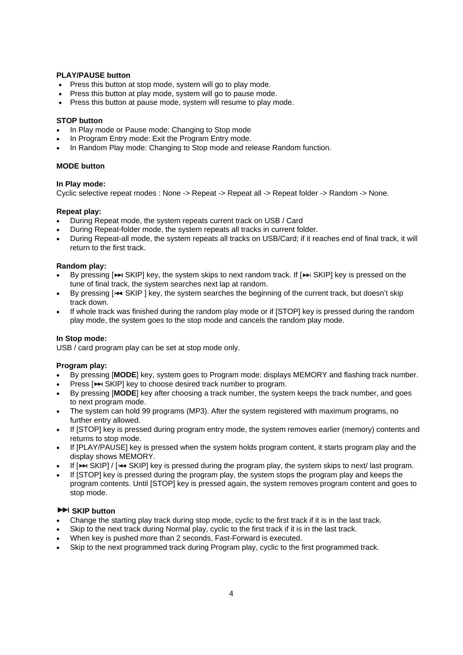## **PLAY/PAUSE button**

- Press this button at stop mode, system will go to play mode.
- Press this button at play mode, system will go to pause mode.
- Press this button at pause mode, system will resume to play mode.

#### **STOP button**

- In Play mode or Pause mode: Changing to Stop mode
- In Program Entry mode: Exit the Program Entry mode.
- In Random Play mode: Changing to Stop mode and release Random function.

## **MODE button**

#### **In Play mode:**

Cyclic selective repeat modes : None -> Repeat -> Repeat all -> Repeat folder -> Random -> None.

#### **Repeat play:**

- During Repeat mode, the system repeats current track on USB / Card
- During Repeat-folder mode, the system repeats all tracks in current folder.
- During Repeat-all mode, the system repeats all tracks on USB/Card; if it reaches end of final track, it will return to the first track.

#### **Random play:**

- By pressing [ SKIP] key, the system skips to next random track. If [ SKIP] key is pressed on the tune of final track, the system searches next lap at random.
- By pressing [ $\leftrightarrow$  SKIP ] key, the system searches the beginning of the current track, but doesn't skip track down.
- If whole track was finished during the random play mode or if [STOP] key is pressed during the random play mode, the system goes to the stop mode and cancels the random play mode.

#### **In Stop mode:**

USB / card program play can be set at stop mode only.

#### **Program play:**

- By pressing [**MODE**] key, system goes to Program mode: displays MEMORY and flashing track number.
- Press [ $\blacktriangleright$  SKIP] key to choose desired track number to program.
- By pressing [**MODE**] key after choosing a track number, the system keeps the track number, and goes to next program mode.
- The system can hold 99 programs (MP3). After the system registered with maximum programs, no further entry allowed.
- If [STOP] key is pressed during program entry mode, the system removes earlier (memory) contents and returns to stop mode.
- If [PLAY/PAUSE] key is pressed when the system holds program content, it starts program play and the display shows MEMORY.
- If  $[PP]$  SKIP] / [ $\leftarrow$  SKIP] key is pressed during the program play, the system skips to next/ last program.
- If [STOP] key is pressed during the program play, the system stops the program play and keeps the program contents. Until [STOP] key is pressed again, the system removes program content and goes to stop mode.

## **EXIP button**

- Change the starting play track during stop mode, cyclic to the first track if it is in the last track.
- Skip to the next track during Normal play, cyclic to the first track if it is in the last track.
- When key is pushed more than 2 seconds, Fast-Forward is executed.
- Skip to the next programmed track during Program play, cyclic to the first programmed track.